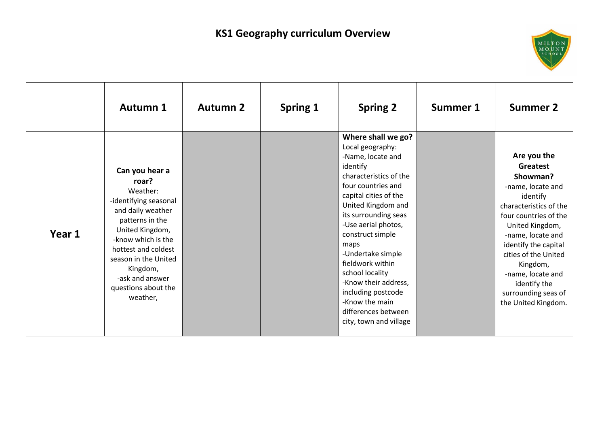

|        | <b>Autumn 1</b>                                                                                                                                                                                                                                                | <b>Autumn 2</b> | Spring 1 | <b>Spring 2</b>                                                                                                                                                                                                                                                                                                                                                                                                                | Summer 1 | <b>Summer 2</b>                                                                                                                                                                                                                                                                                                |
|--------|----------------------------------------------------------------------------------------------------------------------------------------------------------------------------------------------------------------------------------------------------------------|-----------------|----------|--------------------------------------------------------------------------------------------------------------------------------------------------------------------------------------------------------------------------------------------------------------------------------------------------------------------------------------------------------------------------------------------------------------------------------|----------|----------------------------------------------------------------------------------------------------------------------------------------------------------------------------------------------------------------------------------------------------------------------------------------------------------------|
| Year 1 | Can you hear a<br>roar?<br>Weather:<br>-identifying seasonal<br>and daily weather<br>patterns in the<br>United Kingdom,<br>-know which is the<br>hottest and coldest<br>season in the United<br>Kingdom,<br>-ask and answer<br>questions about the<br>weather, |                 |          | Where shall we go?<br>Local geography:<br>-Name, locate and<br>identify<br>characteristics of the<br>four countries and<br>capital cities of the<br>United Kingdom and<br>its surrounding seas<br>-Use aerial photos,<br>construct simple<br>maps<br>-Undertake simple<br>fieldwork within<br>school locality<br>-Know their address,<br>including postcode<br>-Know the main<br>differences between<br>city, town and village |          | Are you the<br>Greatest<br>Showman?<br>-name, locate and<br>identify<br>characteristics of the<br>four countries of the<br>United Kingdom,<br>-name, locate and<br>identify the capital<br>cities of the United<br>Kingdom,<br>-name, locate and<br>identify the<br>surrounding seas of<br>the United Kingdom. |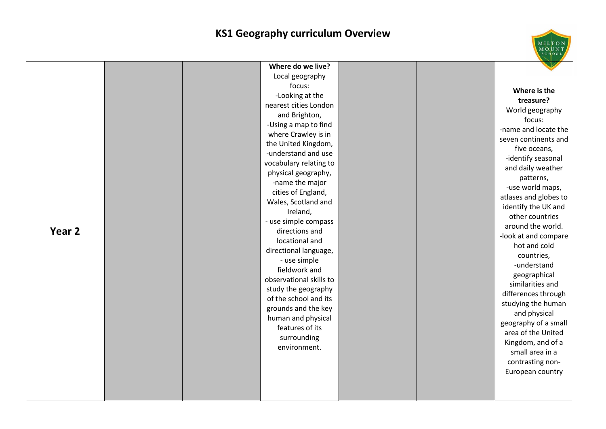## **KS1 Geography curriculum Overview**

MILTON<br>MOUNT

| Year 2 | Where do we live?<br>Local geography<br>focus:<br>-Looking at the<br>nearest cities London<br>and Brighton,<br>-Using a map to find<br>where Crawley is in<br>the United Kingdom,<br>-understand and use<br>vocabulary relating to<br>physical geography,<br>-name the major<br>cities of England,<br>Wales, Scotland and<br>Ireland,<br>- use simple compass<br>directions and<br>locational and<br>directional language,<br>- use simple<br>fieldwork and<br>observational skills to<br>study the geography<br>of the school and its<br>grounds and the key<br>human and physical<br>features of its<br>surrounding<br>environment. | Where is the<br>treasure?<br>World geography<br>focus:<br>-name and locate the<br>seven continents and<br>five oceans,<br>-identify seasonal<br>and daily weather<br>patterns,<br>-use world maps,<br>atlases and globes to<br>identify the UK and<br>other countries<br>around the world.<br>-look at and compare<br>hot and cold<br>countries,<br>-understand<br>geographical<br>similarities and<br>differences through<br>studying the human<br>and physical<br>geography of a small<br>area of the United<br>Kingdom, and of a<br>small area in a<br>contrasting non-<br>European country |
|--------|---------------------------------------------------------------------------------------------------------------------------------------------------------------------------------------------------------------------------------------------------------------------------------------------------------------------------------------------------------------------------------------------------------------------------------------------------------------------------------------------------------------------------------------------------------------------------------------------------------------------------------------|------------------------------------------------------------------------------------------------------------------------------------------------------------------------------------------------------------------------------------------------------------------------------------------------------------------------------------------------------------------------------------------------------------------------------------------------------------------------------------------------------------------------------------------------------------------------------------------------|
|        |                                                                                                                                                                                                                                                                                                                                                                                                                                                                                                                                                                                                                                       |                                                                                                                                                                                                                                                                                                                                                                                                                                                                                                                                                                                                |